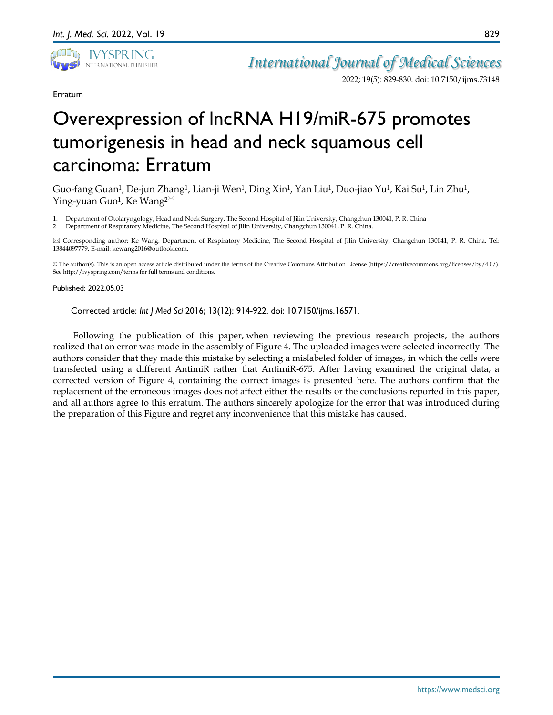

*International Journal of Medical Sciences*

2022; 19(5): 829-830. doi: 10.7150/ijms.73148

## Erratum

## Overexpression of lncRNA H19/miR-675 promotes tumorigenesis in head and neck squamous cell carcinoma: Erratum

Guo-fang Guan<sup>1</sup>, De-jun Zhang<sup>1</sup>, Lian-ji Wen<sup>1</sup>, Ding Xin<sup>1</sup>, Yan Liu<sup>1</sup>, Duo-jiao Yu<sup>1</sup>, Kai Su<sup>1</sup>, Lin Zhu<sup>1</sup>, Ying-yuan Guo<sup>1</sup>, Ke Wang<sup>2 $\boxtimes$ </sup>

1. Department of Otolaryngology, Head and Neck Surgery, The Second Hospital of Jilin University, Changchun 130041, P. R. China

2. Department of Respiratory Medicine, The Second Hospital of Jilin University, Changchun 130041, P. R. China.

 Corresponding author: Ke Wang. Department of Respiratory Medicine, The Second Hospital of Jilin University, Changchun 130041, P. R. China. Tel: 13844097779. E-mail: kewang2016@outlook.com.

© The author(s). This is an open access article distributed under the terms of the Creative Commons Attribution License (https://creativecommons.org/licenses/by/4.0/). See http://ivyspring.com/terms for full terms and conditions.

## Published: 2022.05.03

Corrected article: *Int J Med Sci* 2016; 13(12): 914-922. doi: 10.7150/ijms.16571.

Following the publication of this paper, when reviewing the previous research projects, the authors realized that an error was made in the assembly of Figure 4. The uploaded images were selected incorrectly. The authors consider that they made this mistake by selecting a mislabeled folder of images, in which the cells were transfected using a different AntimiR rather that AntimiR-675. After having examined the original data, a corrected version of Figure 4, containing the correct images is presented here. The authors confirm that the replacement of the erroneous images does not affect either the results or the conclusions reported in this paper, and all authors agree to this erratum. The authors sincerely apologize for the error that was introduced during the preparation of this Figure and regret any inconvenience that this mistake has caused.